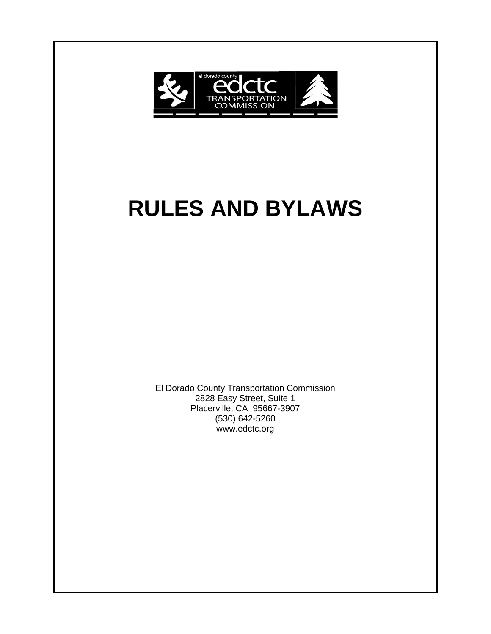

# **RULES AND BYLAWS**

El Dorado County Transportation Commission 2828 Easy Street, Suite 1 Placerville, CA 95667-3907 (530) 642-5260 www.edctc.org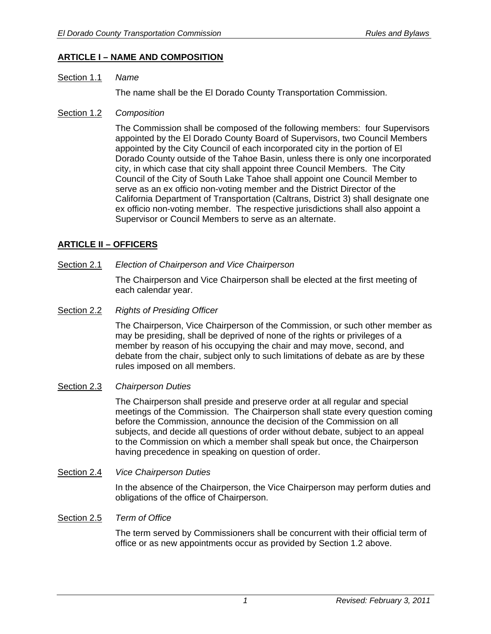# **ARTICLE I – NAME AND COMPOSITION**

#### Section 1.1 *Name*

The name shall be the El Dorado County Transportation Commission.

#### Section 1.2 *Composition*

 The Commission shall be composed of the following members: four Supervisors appointed by the El Dorado County Board of Supervisors, two Council Members appointed by the City Council of each incorporated city in the portion of El Dorado County outside of the Tahoe Basin, unless there is only one incorporated city, in which case that city shall appoint three Council Members. The City Council of the City of South Lake Tahoe shall appoint one Council Member to serve as an ex officio non-voting member and the District Director of the California Department of Transportation (Caltrans, District 3) shall designate one ex officio non-voting member. The respective jurisdictions shall also appoint a Supervisor or Council Members to serve as an alternate.

# **ARTICLE II – OFFICERS**

#### Section 2.1 *Election of Chairperson and Vice Chairperson*

 The Chairperson and Vice Chairperson shall be elected at the first meeting of each calendar year.

Section 2.2 *Rights of Presiding Officer*

 The Chairperson, Vice Chairperson of the Commission, or such other member as may be presiding, shall be deprived of none of the rights or privileges of a member by reason of his occupying the chair and may move, second, and debate from the chair, subject only to such limitations of debate as are by these rules imposed on all members.

#### Section 2.3 *Chairperson Duties*

 The Chairperson shall preside and preserve order at all regular and special meetings of the Commission. The Chairperson shall state every question coming before the Commission, announce the decision of the Commission on all subjects, and decide all questions of order without debate, subject to an appeal to the Commission on which a member shall speak but once, the Chairperson having precedence in speaking on question of order.

#### Section 2.4 *Vice Chairperson Duties*

In the absence of the Chairperson, the Vice Chairperson may perform duties and obligations of the office of Chairperson.

#### Section 2.5 *Term of Office*

 The term served by Commissioners shall be concurrent with their official term of office or as new appointments occur as provided by Section 1.2 above.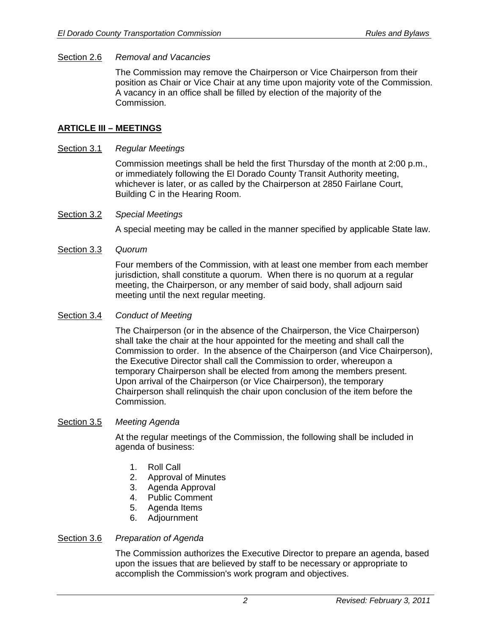#### Section 2.6 *Removal and Vacancies*

 The Commission may remove the Chairperson or Vice Chairperson from their position as Chair or Vice Chair at any time upon majority vote of the Commission. A vacancy in an office shall be filled by election of the majority of the Commission.

### **ARTICLE III – MEETINGS**

#### Section 3.1 *Regular Meetings*

 Commission meetings shall be held the first Thursday of the month at 2:00 p.m., or immediately following the El Dorado County Transit Authority meeting, whichever is later, or as called by the Chairperson at 2850 Fairlane Court, Building C in the Hearing Room.

#### Section 3.2 *Special Meetings*

A special meeting may be called in the manner specified by applicable State law.

#### Section 3.3 *Quorum*

 Four members of the Commission, with at least one member from each member jurisdiction, shall constitute a quorum. When there is no quorum at a regular meeting, the Chairperson, or any member of said body, shall adjourn said meeting until the next regular meeting.

#### Section 3.4 *Conduct of Meeting*

 The Chairperson (or in the absence of the Chairperson, the Vice Chairperson) shall take the chair at the hour appointed for the meeting and shall call the Commission to order. In the absence of the Chairperson (and Vice Chairperson), the Executive Director shall call the Commission to order, whereupon a temporary Chairperson shall be elected from among the members present. Upon arrival of the Chairperson (or Vice Chairperson), the temporary Chairperson shall relinquish the chair upon conclusion of the item before the Commission.

#### Section 3.5 *Meeting Agenda*

 At the regular meetings of the Commission, the following shall be included in agenda of business:

- 1. Roll Call
- 2. Approval of Minutes
- 3. Agenda Approval
- 4. Public Comment
- 5. Agenda Items
- 6. Adjournment

#### Section 3.6 *Preparation of Agenda*

 The Commission authorizes the Executive Director to prepare an agenda, based upon the issues that are believed by staff to be necessary or appropriate to accomplish the Commission's work program and objectives.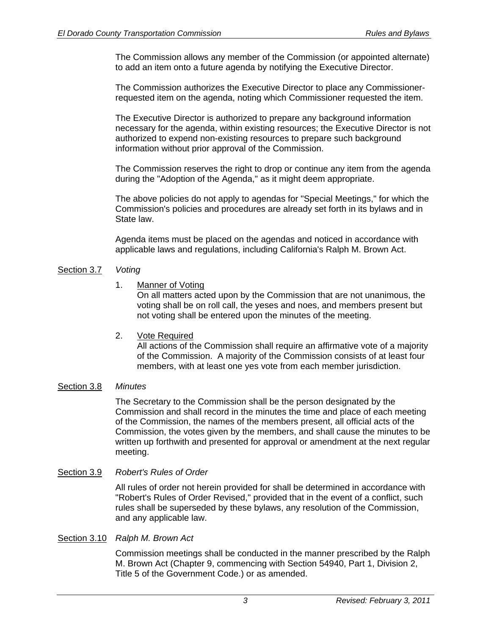The Commission allows any member of the Commission (or appointed alternate) to add an item onto a future agenda by notifying the Executive Director.

 The Commission authorizes the Executive Director to place any Commissionerrequested item on the agenda, noting which Commissioner requested the item.

 The Executive Director is authorized to prepare any background information necessary for the agenda, within existing resources; the Executive Director is not authorized to expend non-existing resources to prepare such background information without prior approval of the Commission.

 The Commission reserves the right to drop or continue any item from the agenda during the "Adoption of the Agenda," as it might deem appropriate.

 The above policies do not apply to agendas for "Special Meetings," for which the Commission's policies and procedures are already set forth in its bylaws and in State law.

 Agenda items must be placed on the agendas and noticed in accordance with applicable laws and regulations, including California's Ralph M. Brown Act.

#### Section 3.7 *Voting*

1. Manner of Voting

 On all matters acted upon by the Commission that are not unanimous, the voting shall be on roll call, the yeses and noes, and members present but not voting shall be entered upon the minutes of the meeting.

# 2. Vote Required

 All actions of the Commission shall require an affirmative vote of a majority of the Commission. A majority of the Commission consists of at least four members, with at least one yes vote from each member jurisdiction.

# Section 3.8 *Minutes*

 The Secretary to the Commission shall be the person designated by the Commission and shall record in the minutes the time and place of each meeting of the Commission, the names of the members present, all official acts of the Commission, the votes given by the members, and shall cause the minutes to be written up forthwith and presented for approval or amendment at the next regular meeting.

# Section 3.9 *Robert's Rules of Order*

 All rules of order not herein provided for shall be determined in accordance with "Robert's Rules of Order Revised," provided that in the event of a conflict, such rules shall be superseded by these bylaws, any resolution of the Commission, and any applicable law.

#### Section 3.10 *Ralph M. Brown Act*

 Commission meetings shall be conducted in the manner prescribed by the Ralph M. Brown Act (Chapter 9, commencing with Section 54940, Part 1, Division 2, Title 5 of the Government Code.) or as amended.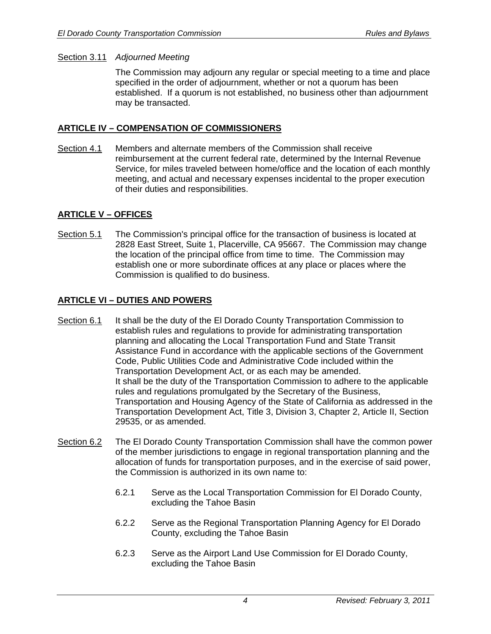## Section 3.11 *Adjourned Meeting*

 The Commission may adjourn any regular or special meeting to a time and place specified in the order of adjournment, whether or not a quorum has been established. If a quorum is not established, no business other than adjournment may be transacted.

# **ARTICLE IV – COMPENSATION OF COMMISSIONERS**

Section 4.1 Members and alternate members of the Commission shall receive reimbursement at the current federal rate, determined by the Internal Revenue Service, for miles traveled between home/office and the location of each monthly meeting, and actual and necessary expenses incidental to the proper execution of their duties and responsibilities.

# **ARTICLE V – OFFICES**

Section 5.1 The Commission's principal office for the transaction of business is located at 2828 East Street, Suite 1, Placerville, CA 95667. The Commission may change the location of the principal office from time to time. The Commission may establish one or more subordinate offices at any place or places where the Commission is qualified to do business.

# **ARTICLE VI – DUTIES AND POWERS**

- Section 6.1 It shall be the duty of the El Dorado County Transportation Commission to establish rules and regulations to provide for administrating transportation planning and allocating the Local Transportation Fund and State Transit Assistance Fund in accordance with the applicable sections of the Government Code, Public Utilities Code and Administrative Code included within the Transportation Development Act, or as each may be amended. It shall be the duty of the Transportation Commission to adhere to the applicable rules and regulations promulgated by the Secretary of the Business, Transportation and Housing Agency of the State of California as addressed in the Transportation Development Act, Title 3, Division 3, Chapter 2, Article II, Section 29535, or as amended.
- Section 6.2 The El Dorado County Transportation Commission shall have the common power of the member jurisdictions to engage in regional transportation planning and the allocation of funds for transportation purposes, and in the exercise of said power, the Commission is authorized in its own name to:
	- 6.2.1 Serve as the Local Transportation Commission for El Dorado County, excluding the Tahoe Basin
	- 6.2.2 Serve as the Regional Transportation Planning Agency for El Dorado County, excluding the Tahoe Basin
	- 6.2.3 Serve as the Airport Land Use Commission for El Dorado County, excluding the Tahoe Basin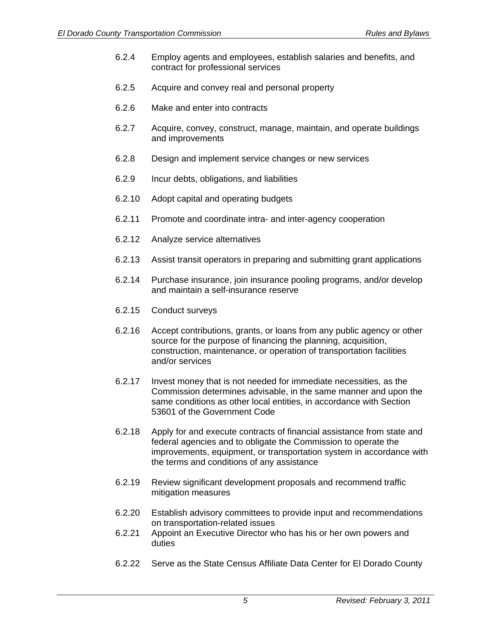- 6.2.4 Employ agents and employees, establish salaries and benefits, and contract for professional services
- 6.2.5 Acquire and convey real and personal property
- 6.2.6 Make and enter into contracts
- 6.2.7 Acquire, convey, construct, manage, maintain, and operate buildings and improvements
- 6.2.8 Design and implement service changes or new services
- 6.2.9 Incur debts, obligations, and liabilities
- 6.2.10 Adopt capital and operating budgets
- 6.2.11 Promote and coordinate intra- and inter-agency cooperation
- 6.2.12 Analyze service alternatives
- 6.2.13 Assist transit operators in preparing and submitting grant applications
- 6.2.14 Purchase insurance, join insurance pooling programs, and/or develop and maintain a self-insurance reserve
- 6.2.15 Conduct surveys
- 6.2.16 Accept contributions, grants, or loans from any public agency or other source for the purpose of financing the planning, acquisition, construction, maintenance, or operation of transportation facilities and/or services
- 6.2.17 Invest money that is not needed for immediate necessities, as the Commission determines advisable, in the same manner and upon the same conditions as other local entities, in accordance with Section 53601 of the Government Code
- 6.2.18 Apply for and execute contracts of financial assistance from state and federal agencies and to obligate the Commission to operate the improvements, equipment, or transportation system in accordance with the terms and conditions of any assistance
- 6.2.19 Review significant development proposals and recommend traffic mitigation measures
- 6.2.20 Establish advisory committees to provide input and recommendations on transportation-related issues
- 6.2.21 Appoint an Executive Director who has his or her own powers and duties
- 6.2.22 Serve as the State Census Affiliate Data Center for El Dorado County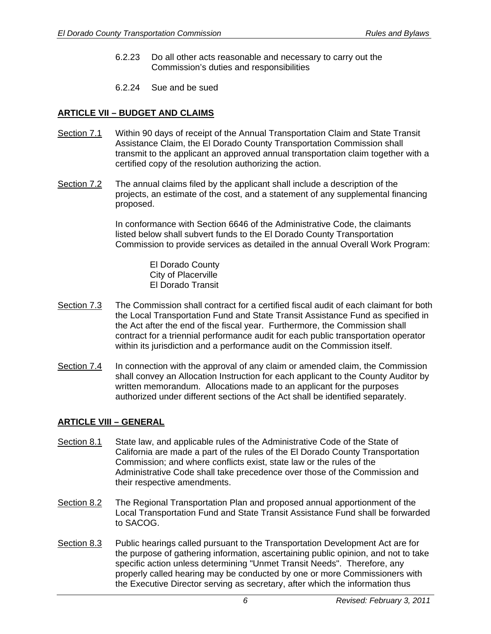- 6.2.23 Do all other acts reasonable and necessary to carry out the Commission's duties and responsibilities
- 6.2.24 Sue and be sued

# **ARTICLE VII – BUDGET AND CLAIMS**

- Section 7.1 Within 90 days of receipt of the Annual Transportation Claim and State Transit Assistance Claim, the El Dorado County Transportation Commission shall transmit to the applicant an approved annual transportation claim together with a certified copy of the resolution authorizing the action.
- Section 7.2 The annual claims filed by the applicant shall include a description of the projects, an estimate of the cost, and a statement of any supplemental financing proposed.

 In conformance with Section 6646 of the Administrative Code, the claimants listed below shall subvert funds to the El Dorado County Transportation Commission to provide services as detailed in the annual Overall Work Program:

> El Dorado County City of Placerville El Dorado Transit

- Section 7.3 The Commission shall contract for a certified fiscal audit of each claimant for both the Local Transportation Fund and State Transit Assistance Fund as specified in the Act after the end of the fiscal year. Furthermore, the Commission shall contract for a triennial performance audit for each public transportation operator within its jurisdiction and a performance audit on the Commission itself.
- Section 7.4 In connection with the approval of any claim or amended claim, the Commission shall convey an Allocation Instruction for each applicant to the County Auditor by written memorandum. Allocations made to an applicant for the purposes authorized under different sections of the Act shall be identified separately.

# **ARTICLE VIII – GENERAL**

- Section 8.1 State law, and applicable rules of the Administrative Code of the State of California are made a part of the rules of the El Dorado County Transportation Commission; and where conflicts exist, state law or the rules of the Administrative Code shall take precedence over those of the Commission and their respective amendments.
- Section 8.2 The Regional Transportation Plan and proposed annual apportionment of the Local Transportation Fund and State Transit Assistance Fund shall be forwarded to SACOG.
- Section 8.3 Public hearings called pursuant to the Transportation Development Act are for the purpose of gathering information, ascertaining public opinion, and not to take specific action unless determining "Unmet Transit Needs". Therefore, any properly called hearing may be conducted by one or more Commissioners with the Executive Director serving as secretary, after which the information thus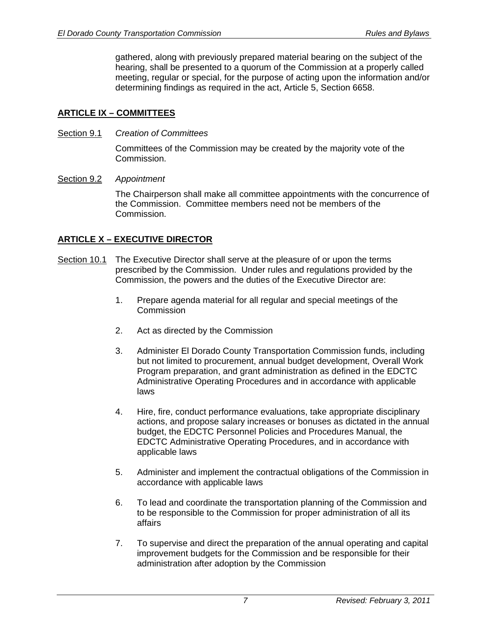gathered, along with previously prepared material bearing on the subject of the hearing, shall be presented to a quorum of the Commission at a properly called meeting, regular or special, for the purpose of acting upon the information and/or determining findings as required in the act, Article 5, Section 6658.

# **ARTICLE IX – COMMITTEES**

Section 9.1 *Creation of Committees*

 Committees of the Commission may be created by the majority vote of the Commission.

# Section 9.2 *Appointment*

 The Chairperson shall make all committee appointments with the concurrence of the Commission. Committee members need not be members of the Commission.

# **ARTICLE X – EXECUTIVE DIRECTOR**

- Section 10.1 The Executive Director shall serve at the pleasure of or upon the terms prescribed by the Commission. Under rules and regulations provided by the Commission, the powers and the duties of the Executive Director are:
	- 1. Prepare agenda material for all regular and special meetings of the **Commission**
	- 2. Act as directed by the Commission
	- 3. Administer El Dorado County Transportation Commission funds, including but not limited to procurement, annual budget development, Overall Work Program preparation, and grant administration as defined in the EDCTC Administrative Operating Procedures and in accordance with applicable laws
	- 4. Hire, fire, conduct performance evaluations, take appropriate disciplinary actions, and propose salary increases or bonuses as dictated in the annual budget, the EDCTC Personnel Policies and Procedures Manual, the EDCTC Administrative Operating Procedures, and in accordance with applicable laws
	- 5. Administer and implement the contractual obligations of the Commission in accordance with applicable laws
	- 6. To lead and coordinate the transportation planning of the Commission and to be responsible to the Commission for proper administration of all its affairs
	- 7. To supervise and direct the preparation of the annual operating and capital improvement budgets for the Commission and be responsible for their administration after adoption by the Commission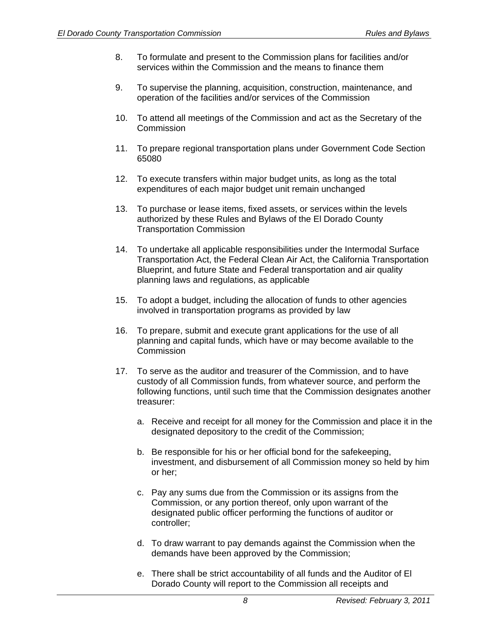- 8. To formulate and present to the Commission plans for facilities and/or services within the Commission and the means to finance them
- 9. To supervise the planning, acquisition, construction, maintenance, and operation of the facilities and/or services of the Commission
- 10. To attend all meetings of the Commission and act as the Secretary of the **Commission**
- 11. To prepare regional transportation plans under Government Code Section 65080
- 12. To execute transfers within major budget units, as long as the total expenditures of each major budget unit remain unchanged
- 13. To purchase or lease items, fixed assets, or services within the levels authorized by these Rules and Bylaws of the El Dorado County Transportation Commission
- 14. To undertake all applicable responsibilities under the Intermodal Surface Transportation Act, the Federal Clean Air Act, the California Transportation Blueprint, and future State and Federal transportation and air quality planning laws and regulations, as applicable
- 15. To adopt a budget, including the allocation of funds to other agencies involved in transportation programs as provided by law
- 16. To prepare, submit and execute grant applications for the use of all planning and capital funds, which have or may become available to the **Commission**
- 17. To serve as the auditor and treasurer of the Commission, and to have custody of all Commission funds, from whatever source, and perform the following functions, until such time that the Commission designates another treasurer:
	- a. Receive and receipt for all money for the Commission and place it in the designated depository to the credit of the Commission;
	- b. Be responsible for his or her official bond for the safekeeping, investment, and disbursement of all Commission money so held by him or her;
	- c. Pay any sums due from the Commission or its assigns from the Commission, or any portion thereof, only upon warrant of the designated public officer performing the functions of auditor or controller;
	- d. To draw warrant to pay demands against the Commission when the demands have been approved by the Commission;
	- e. There shall be strict accountability of all funds and the Auditor of El Dorado County will report to the Commission all receipts and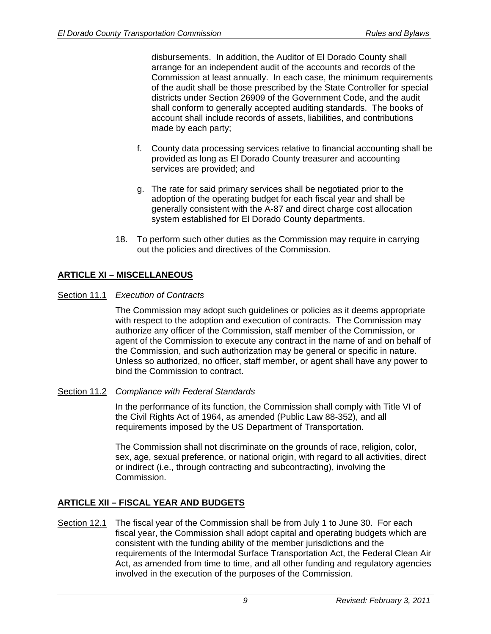disbursements. In addition, the Auditor of El Dorado County shall arrange for an independent audit of the accounts and records of the Commission at least annually. In each case, the minimum requirements of the audit shall be those prescribed by the State Controller for special districts under Section 26909 of the Government Code, and the audit shall conform to generally accepted auditing standards. The books of account shall include records of assets, liabilities, and contributions made by each party;

- f. County data processing services relative to financial accounting shall be provided as long as El Dorado County treasurer and accounting services are provided; and
- g. The rate for said primary services shall be negotiated prior to the adoption of the operating budget for each fiscal year and shall be generally consistent with the A-87 and direct charge cost allocation system established for El Dorado County departments.
- 18. To perform such other duties as the Commission may require in carrying out the policies and directives of the Commission.

# **ARTICLE XI – MISCELLANEOUS**

## Section 11.1 *Execution of Contracts*

 The Commission may adopt such guidelines or policies as it deems appropriate with respect to the adoption and execution of contracts. The Commission may authorize any officer of the Commission, staff member of the Commission, or agent of the Commission to execute any contract in the name of and on behalf of the Commission, and such authorization may be general or specific in nature. Unless so authorized, no officer, staff member, or agent shall have any power to bind the Commission to contract.

#### Section 11.2 *Compliance with Federal Standards*

 In the performance of its function, the Commission shall comply with Title VI of the Civil Rights Act of 1964, as amended (Public Law 88-352), and all requirements imposed by the US Department of Transportation.

 The Commission shall not discriminate on the grounds of race, religion, color, sex, age, sexual preference, or national origin, with regard to all activities, direct or indirect (i.e., through contracting and subcontracting), involving the Commission.

# **ARTICLE XII – FISCAL YEAR AND BUDGETS**

Section 12.1 The fiscal year of the Commission shall be from July 1 to June 30. For each fiscal year, the Commission shall adopt capital and operating budgets which are consistent with the funding ability of the member jurisdictions and the requirements of the Intermodal Surface Transportation Act, the Federal Clean Air Act, as amended from time to time, and all other funding and regulatory agencies involved in the execution of the purposes of the Commission.